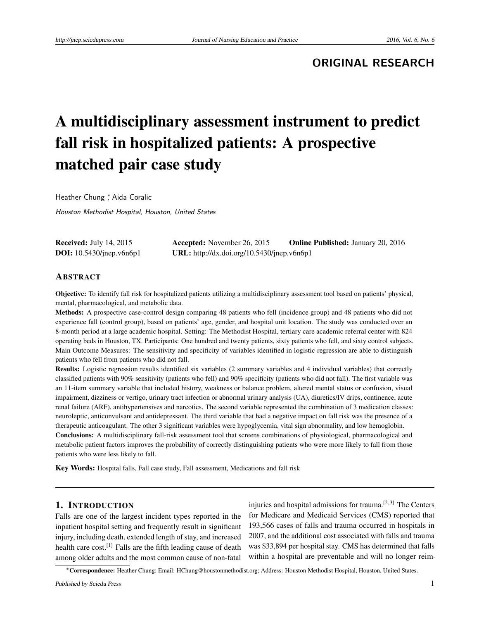**ORIGINAL RESEARCH**

# A multidisciplinary assessment instrument to predict fall risk in hospitalized patients: A prospective matched pair case study

Heather Chung<sup>\*</sup>, Aida Coralic

Houston Methodist Hospital, Houston, United States

| <b>Received:</b> July 14, 2015    | <b>Accepted:</b> November 26, 2015         | <b>Online Published:</b> January 20, 2016 |
|-----------------------------------|--------------------------------------------|-------------------------------------------|
| <b>DOI:</b> $10.5430/jnep.v6n6p1$ | URL: http://dx.doi.org/10.5430/jnep.v6n6p1 |                                           |

### ABSTRACT

Objective: To identify fall risk for hospitalized patients utilizing a multidisciplinary assessment tool based on patients' physical, mental, pharmacological, and metabolic data.

Methods: A prospective case-control design comparing 48 patients who fell (incidence group) and 48 patients who did not experience fall (control group), based on patients' age, gender, and hospital unit location. The study was conducted over an 8-month period at a large academic hospital. Setting: The Methodist Hospital, tertiary care academic referral center with 824 operating beds in Houston, TX. Participants: One hundred and twenty patients, sixty patients who fell, and sixty control subjects. Main Outcome Measures: The sensitivity and specificity of variables identified in logistic regression are able to distinguish patients who fell from patients who did not fall.

Results: Logistic regression results identified six variables (2 summary variables and 4 individual variables) that correctly classified patients with 90% sensitivity (patients who fell) and 90% specificity (patients who did not fall). The first variable was an 11-item summary variable that included history, weakness or balance problem, altered mental status or confusion, visual impairment, dizziness or vertigo, urinary tract infection or abnormal urinary analysis (UA), diuretics/IV drips, continence, acute renal failure (ARF), antihypertensives and narcotics. The second variable represented the combination of 3 medication classes: neuroleptic, anticonvulsant and antidepressant. The third variable that had a negative impact on fall risk was the presence of a therapeutic anticoagulant. The other 3 significant variables were hypoglycemia, vital sign abnormality, and low hemoglobin. Conclusions: A multidisciplinary fall-risk assessment tool that screens combinations of physiological, pharmacological and metabolic patient factors improves the probability of correctly distinguishing patients who were more likely to fall from those patients who were less likely to fall.

Key Words: Hospital falls, Fall case study, Fall assessment, Medications and fall risk

## 1. INTRODUCTION

Falls are one of the largest incident types reported in the inpatient hospital setting and frequently result in significant injury, including death, extended length of stay, and increased health care cost.<sup>[\[1\]](#page-5-0)</sup> Falls are the fifth leading cause of death among older adults and the most common cause of non-fatal

injuries and hospital admissions for trauma.<sup>[\[2,](#page-5-1) [3\]](#page-5-2)</sup> The Centers for Medicare and Medicaid Services (CMS) reported that 193,566 cases of falls and trauma occurred in hospitals in 2007, and the additional cost associated with falls and trauma was \$33,894 per hospital stay. CMS has determined that falls within a hospital are preventable and will no longer reim-

<sup>∗</sup>Correspondence: Heather Chung; Email: HChung@houstonmethodist.org; Address: Houston Methodist Hospital, Houston, United States.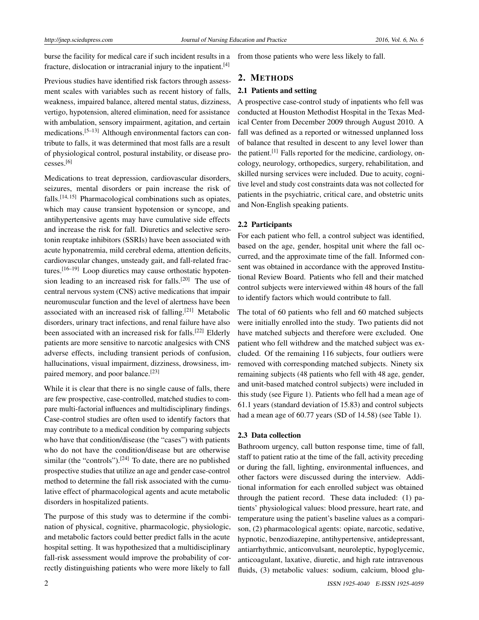burse the facility for medical care if such incident results in a fracture, dislocation or intracranial injury to the inpatient.[\[4\]](#page-5-3)

Previous studies have identified risk factors through assessment scales with variables such as recent history of falls, weakness, impaired balance, altered mental status, dizziness, vertigo, hypotension, altered elimination, need for assistance with ambulation, sensory impairment, agitation, and certain medications.[\[5](#page-5-4)[–13\]](#page-5-5) Although environmental factors can contribute to falls, it was determined that most falls are a result of physiological control, postural instability, or disease processes.[\[6\]](#page-5-6)

Medications to treat depression, cardiovascular disorders, seizures, mental disorders or pain increase the risk of falls.<sup>[\[14,](#page-5-7) [15\]](#page-5-8)</sup> Pharmacological combinations such as opiates, which may cause transient hypotension or syncope, and antihypertensive agents may have cumulative side effects and increase the risk for fall. Diuretics and selective serotonin reuptake inhibitors (SSRIs) have been associated with acute hyponatremia, mild cerebral edema, attention deficits, cardiovascular changes, unsteady gait, and fall-related fractures.[\[16](#page-5-9)[–19\]](#page-6-0) Loop diuretics may cause orthostatic hypotension leading to an increased risk for falls.[\[20\]](#page-6-1) The use of central nervous system (CNS) active medications that impair neuromuscular function and the level of alertness have been associated with an increased risk of falling.<sup>[\[21\]](#page-6-2)</sup> Metabolic disorders, urinary tract infections, and renal failure have also been associated with an increased risk for falls.<sup>[\[22\]](#page-6-3)</sup> Elderly patients are more sensitive to narcotic analgesics with CNS adverse effects, including transient periods of confusion, hallucinations, visual impairment, dizziness, drowsiness, im-paired memory, and poor balance.<sup>[\[23\]](#page-6-4)</sup>

While it is clear that there is no single cause of falls, there are few prospective, case-controlled, matched studies to compare multi-factorial influences and multidisciplinary findings. Case-control studies are often used to identify factors that may contribute to a medical condition by comparing subjects who have that condition/disease (the "cases") with patients who do not have the condition/disease but are otherwise similar (the "controls").<sup>[\[24\]](#page-6-5)</sup> To date, there are no published prospective studies that utilize an age and gender case-control method to determine the fall risk associated with the cumulative effect of pharmacological agents and acute metabolic disorders in hospitalized patients.

The purpose of this study was to determine if the combination of physical, cognitive, pharmacologic, physiologic, and metabolic factors could better predict falls in the acute hospital setting. It was hypothesized that a multidisciplinary fall-risk assessment would improve the probability of correctly distinguishing patients who were more likely to fall

from those patients who were less likely to fall.

# 2. METHODS

#### 2.1 Patients and setting

A prospective case-control study of inpatients who fell was conducted at Houston Methodist Hospital in the Texas Medical Center from December 2009 through August 2010. A fall was defined as a reported or witnessed unplanned loss of balance that resulted in descent to any level lower than the patient.[\[1\]](#page-5-0) Falls reported for the medicine, cardiology, oncology, neurology, orthopedics, surgery, rehabilitation, and skilled nursing services were included. Due to acuity, cognitive level and study cost constraints data was not collected for patients in the psychiatric, critical care, and obstetric units and Non-English speaking patients.

# 2.2 Participants

For each patient who fell, a control subject was identified, based on the age, gender, hospital unit where the fall occurred, and the approximate time of the fall. Informed consent was obtained in accordance with the approved Institutional Review Board. Patients who fell and their matched control subjects were interviewed within 48 hours of the fall to identify factors which would contribute to fall.

The total of 60 patients who fell and 60 matched subjects were initially enrolled into the study. Two patients did not have matched subjects and therefore were excluded. One patient who fell withdrew and the matched subject was excluded. Of the remaining 116 subjects, four outliers were removed with corresponding matched subjects. Ninety six remaining subjects (48 patients who fell with 48 age, gender, and unit-based matched control subjects) were included in this study (see Figure 1). Patients who fell had a mean age of 61.1 years (standard deviation of 15.83) and control subjects had a mean age of 60.77 years (SD of 14.58) (see Table 1).

## 2.3 Data collection

Bathroom urgency, call button response time, time of fall, staff to patient ratio at the time of the fall, activity preceding or during the fall, lighting, environmental influences, and other factors were discussed during the interview. Additional information for each enrolled subject was obtained through the patient record. These data included: (1) patients' physiological values: blood pressure, heart rate, and temperature using the patient's baseline values as a comparison, (2) pharmacological agents: opiate, narcotic, sedative, hypnotic, benzodiazepine, antihypertensive, antidepressant, antiarrhythmic, anticonvulsant, neuroleptic, hypoglycemic, anticoagulant, laxative, diuretic, and high rate intravenous fluids, (3) metabolic values: sodium, calcium, blood glu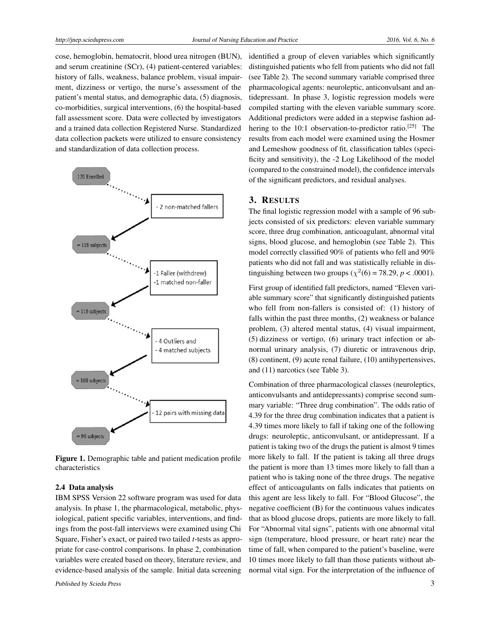cose, hemoglobin, hematocrit, blood urea nitrogen (BUN), and serum creatinine (SCr), (4) patient-centered variables: history of falls, weakness, balance problem, visual impairment, dizziness or vertigo, the nurse's assessment of the patient's mental status, and demographic data, (5) diagnosis, co-morbidities, surgical interventions, (6) the hospital-based fall assessment score. Data were collected by investigators and a trained data collection Registered Nurse. Standardized data collection packets were utilized to ensure consistency and standardization of data collection process.



Figure 1. Demographic table and patient medication profile characteristics

#### 2.4 Data analysis

IBM SPSS Version 22 software program was used for data analysis. In phase 1, the pharmacological, metabolic, physiological, patient specific variables, interventions, and findings from the post-fall interviews were examined using Chi Square, Fisher's exact, or paired two tailed *t*-tests as appropriate for case-control comparisons. In phase 2, combination variables were created based on theory, literature review, and evidence-based analysis of the sample. Initial data screening

identified a group of eleven variables which significantly distinguished patients who fell from patients who did not fall (see Table 2). The second summary variable comprised three pharmacological agents: neuroleptic, anticonvulsant and antidepressant. In phase 3, logistic regression models were compiled starting with the eleven variable summary score. Additional predictors were added in a stepwise fashion ad-hering to the 10:1 observation-to-predictor ratio.<sup>[\[25\]](#page-6-6)</sup> The results from each model were examined using the Hosmer and Lemeshow goodness of fit, classification tables (specificity and sensitivity), the -2 Log Likelihood of the model (compared to the constrained model), the confidence intervals of the significant predictors, and residual analyses.

#### 3. RESULTS

The final logistic regression model with a sample of 96 subjects consisted of six predictors: eleven variable summary score, three drug combination, anticoagulant, abnormal vital signs, blood glucose, and hemoglobin (see Table 2). This model correctly classified 90% of patients who fell and 90% patients who did not fall and was statistically reliable in distinguishing between two groups ( $\chi^2(6) = 78.29$ ,  $p < .0001$ ).

First group of identified fall predictors, named "Eleven variable summary score" that significantly distinguished patients who fell from non-fallers is consisted of: (1) history of falls within the past three months, (2) weakness or balance problem, (3) altered mental status, (4) visual impairment, (5) dizziness or vertigo, (6) urinary tract infection or abnormal urinary analysis, (7) diuretic or intravenous drip, (8) continent, (9) acute renal failure, (10) antihypertensives, and (11) narcotics (see Table 3).

Combination of three pharmacological classes (neuroleptics, anticonvulsants and antidepressants) comprise second summary variable: "Three drug combination". The odds ratio of 4.39 for the three drug combination indicates that a patient is 4.39 times more likely to fall if taking one of the following drugs: neuroleptic, anticonvulsant, or antidepressant. If a patient is taking two of the drugs the patient is almost 9 times more likely to fall. If the patient is taking all three drugs the patient is more than 13 times more likely to fall than a patient who is taking none of the three drugs. The negative effect of anticoagulants on falls indicates that patients on this agent are less likely to fall. For "Blood Glucose", the negative coefficient (B) for the continuous values indicates that as blood glucose drops, patients are more likely to fall. For "Abnormal vital signs", patients with one abnormal vital sign (temperature, blood pressure, or heart rate) near the time of fall, when compared to the patient's baseline, were 10 times more likely to fall than those patients without abnormal vital sign. For the interpretation of the influence of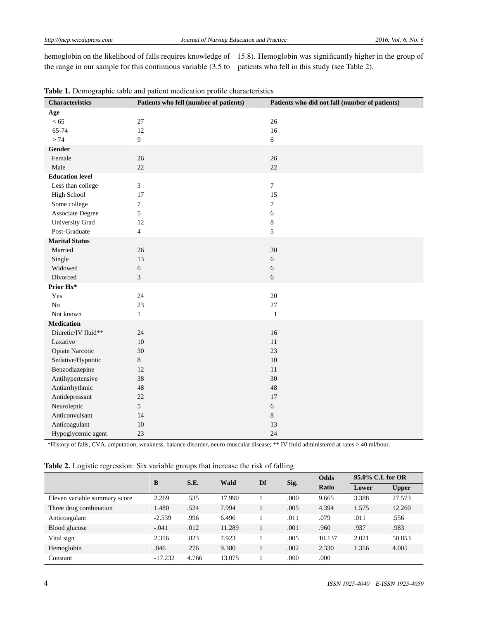the range in our sample for this continuous variable (3.5 to patients who fell in this study (see Table 2).

hemoglobin on the likelihood of falls requires knowledge of 15.8). Hemoglobin was significantly higher in the group of

| <b>Characteristics</b> | Patients who fell (number of patients) | Patients who did not fall (number of patients) |
|------------------------|----------------------------------------|------------------------------------------------|
| Age                    |                                        |                                                |
| < 65                   | $27\,$                                 | 26                                             |
| 65-74                  | 12                                     | 16                                             |
| >74                    | 9                                      | 6                                              |
| Gender                 |                                        |                                                |
| Female                 | 26                                     | 26                                             |
| Male                   | 22                                     | 22                                             |
| <b>Education level</b> |                                        |                                                |
| Less than college      | $\mathfrak{Z}$                         | $\tau$                                         |
| <b>High School</b>     | 17                                     | 15                                             |
| Some college           | $\tau$                                 | $\overline{7}$                                 |
| Associate Degree       | 5                                      | $\sqrt{6}$                                     |
| University Grad        | 12                                     | $\,8\,$                                        |
| Post-Graduate          | $\overline{4}$                         | 5                                              |
| <b>Marital Status</b>  |                                        |                                                |
| Married                | 26                                     | 30                                             |
| Single                 | 13                                     | $\sqrt{6}$                                     |
| Widowed                | $\epsilon$                             | $\sqrt{6}$                                     |
| Divorced               | $\mathfrak{Z}$                         | 6                                              |
| Prior Hx*              |                                        |                                                |
| Yes                    | 24                                     | 20                                             |
| $\rm No$               | 23                                     | 27                                             |
| Not known              | $1\,$                                  | $\mathbf{1}$                                   |
| <b>Medication</b>      |                                        |                                                |
| Diuretic/IV fluid**    | 24                                     | 16                                             |
| Laxative               | 10                                     | 11                                             |
| Opiate Narcotic        | 30                                     | 23                                             |
| Sedative/Hypnotic      | $8\,$                                  | $10\,$                                         |
| Benzodiazepine         | 12                                     | 11                                             |
| Antihypertensive       | 38                                     | 30                                             |
| Antiarrhythmic         | 48                                     | 48                                             |
| Antidepressant         | 22                                     | 17                                             |
| Neuroleptic            | 5                                      | 6                                              |
| Anticonvulsant         | 14                                     | $8\,$                                          |
| Anticoagulant          | 10                                     | 13                                             |
| Hypoglycemic agent     | 23                                     | 24                                             |

Table 1. Demographic table and patient medication profile characteristics

\*History of falls, CVA, amputation, weakness, balance disorder, neuro-muscular disease; \*\* IV fluid administered at rates > 40 ml/hour.

|  | Table 2. Logistic regression: Six variable groups that increase the risk of falling |  |  |  |  |  |
|--|-------------------------------------------------------------------------------------|--|--|--|--|--|
|  |                                                                                     |  |  |  |  |  |

| ÷<br>~                        |           |       |        |    |      |             |       |                   |  |
|-------------------------------|-----------|-------|--------|----|------|-------------|-------|-------------------|--|
|                               | B         | S.E.  | Wald   | Df | Sig. | <b>Odds</b> |       | 95.0% C.I. for OR |  |
|                               |           |       |        |    |      | Ratio       | Lower | <b>Upper</b>      |  |
| Eleven variable summary score | 2.269     | .535  | 17.990 |    | .000 | 9.665       | 3.388 | 27.573            |  |
| Three drug combination        | 1.480     | .524  | 7.994  |    | .005 | 4.394       | 1.575 | 12.260            |  |
| Anticoagulant                 | $-2.539$  | .996  | 6.496  |    | .011 | .079        | .011  | .556              |  |
| Blood glucose                 | $-.041$   | .012  | 11.289 |    | .001 | .960        | .937  | .983              |  |
| Vital sign                    | 2.316     | .823  | 7.923  |    | .005 | 10.137      | 2.021 | 50.853            |  |
| Hemoglobin                    | .846      | .276  | 9.380  |    | .002 | 2.330       | 1.356 | 4.005             |  |
| Constant                      | $-17.232$ | 4.766 | 13.075 |    | .000 | .000        |       |                   |  |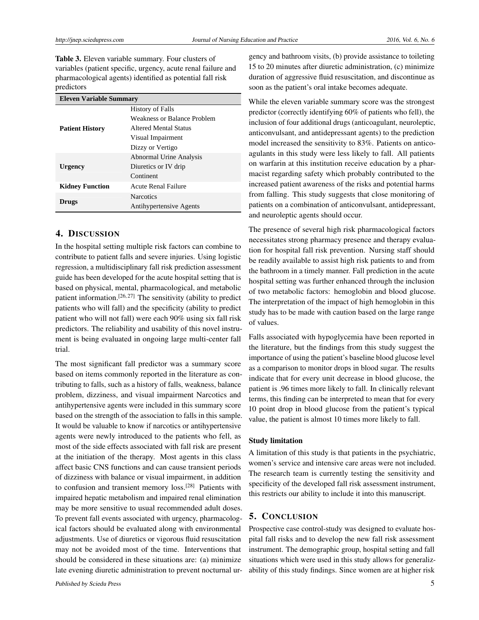Table 3. Eleven variable summary. Four clusters of variables (patient specific, urgency, acute renal failure and pharmacological agents) identified as potential fall risk predictors

| <b>Eleven Variable Summary</b> |                                |  |  |  |
|--------------------------------|--------------------------------|--|--|--|
|                                | <b>History of Falls</b>        |  |  |  |
|                                | Weakness or Balance Problem    |  |  |  |
| <b>Patient History</b>         | Altered Mental Status          |  |  |  |
|                                | Visual Impairment              |  |  |  |
|                                | Dizzy or Vertigo               |  |  |  |
|                                | Abnormal Urine Analysis        |  |  |  |
| Urgency                        | Diuretics or IV drip           |  |  |  |
|                                | Continent                      |  |  |  |
| <b>Kidney Function</b>         | <b>Acute Renal Failure</b>     |  |  |  |
|                                | <b>Narcotics</b>               |  |  |  |
| <b>Drugs</b>                   | <b>Antihypertensive Agents</b> |  |  |  |

# 4. DISCUSSION

In the hospital setting multiple risk factors can combine to contribute to patient falls and severe injuries. Using logistic regression, a multidisciplinary fall risk prediction assessment guide has been developed for the acute hospital setting that is based on physical, mental, pharmacological, and metabolic patient information.<sup>[\[26,](#page-6-7) [27\]](#page-6-8)</sup> The sensitivity (ability to predict patients who will fall) and the specificity (ability to predict patient who will not fall) were each 90% using six fall risk predictors. The reliability and usability of this novel instrument is being evaluated in ongoing large multi-center fall trial.

The most significant fall predictor was a summary score based on items commonly reported in the literature as contributing to falls, such as a history of falls, weakness, balance problem, dizziness, and visual impairment Narcotics and antihypertensive agents were included in this summary score based on the strength of the association to falls in this sample. It would be valuable to know if narcotics or antihypertensive agents were newly introduced to the patients who fell, as most of the side effects associated with fall risk are present at the initiation of the therapy. Most agents in this class affect basic CNS functions and can cause transient periods of dizziness with balance or visual impairment, in addition to confusion and transient memory loss.[\[28\]](#page-6-9) Patients with impaired hepatic metabolism and impaired renal elimination may be more sensitive to usual recommended adult doses. To prevent fall events associated with urgency, pharmacological factors should be evaluated along with environmental adjustments. Use of diuretics or vigorous fluid resuscitation may not be avoided most of the time. Interventions that should be considered in these situations are: (a) minimize late evening diuretic administration to prevent nocturnal urgency and bathroom visits, (b) provide assistance to toileting 15 to 20 minutes after diuretic administration, (c) minimize duration of aggressive fluid resuscitation, and discontinue as soon as the patient's oral intake becomes adequate.

While the eleven variable summary score was the strongest predictor (correctly identifying 60% of patients who fell), the inclusion of four additional drugs (anticoagulant, neuroleptic, anticonvulsant, and antidepressant agents) to the prediction model increased the sensitivity to 83%. Patients on anticoagulants in this study were less likely to fall. All patients on warfarin at this institution receive education by a pharmacist regarding safety which probably contributed to the increased patient awareness of the risks and potential harms from falling. This study suggests that close monitoring of patients on a combination of anticonvulsant, antidepressant, and neuroleptic agents should occur.

The presence of several high risk pharmacological factors necessitates strong pharmacy presence and therapy evaluation for hospital fall risk prevention. Nursing staff should be readily available to assist high risk patients to and from the bathroom in a timely manner. Fall prediction in the acute hospital setting was further enhanced through the inclusion of two metabolic factors: hemoglobin and blood glucose. The interpretation of the impact of high hemoglobin in this study has to be made with caution based on the large range of values.

Falls associated with hypoglycemia have been reported in the literature, but the findings from this study suggest the importance of using the patient's baseline blood glucose level as a comparison to monitor drops in blood sugar. The results indicate that for every unit decrease in blood glucose, the patient is .96 times more likely to fall. In clinically relevant terms, this finding can be interpreted to mean that for every 10 point drop in blood glucose from the patient's typical value, the patient is almost 10 times more likely to fall.

#### Study limitation

A limitation of this study is that patients in the psychiatric, women's service and intensive care areas were not included. The research team is currently testing the sensitivity and specificity of the developed fall risk assessment instrument, this restricts our ability to include it into this manuscript.

# 5. CONCLUSION

Prospective case control-study was designed to evaluate hospital fall risks and to develop the new fall risk assessment instrument. The demographic group, hospital setting and fall situations which were used in this study allows for generalizability of this study findings. Since women are at higher risk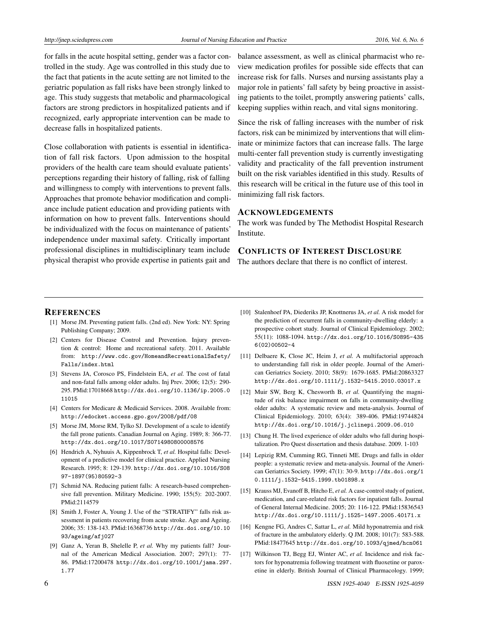for falls in the acute hospital setting, gender was a factor controlled in the study. Age was controlled in this study due to the fact that patients in the acute setting are not limited to the geriatric population as fall risks have been strongly linked to age. This study suggests that metabolic and pharmacological factors are strong predictors in hospitalized patients and if recognized, early appropriate intervention can be made to decrease falls in hospitalized patients.

Close collaboration with patients is essential in identification of fall risk factors. Upon admission to the hospital providers of the health care team should evaluate patients' perceptions regarding their history of falling, risk of falling and willingness to comply with interventions to prevent falls. Approaches that promote behavior modification and compliance include patient education and providing patients with information on how to prevent falls. Interventions should be individualized with the focus on maintenance of patients' independence under maximal safety. Critically important professional disciplines in multidisciplinary team include physical therapist who provide expertise in patients gait and

balance assessment, as well as clinical pharmacist who review medication profiles for possible side effects that can increase risk for falls. Nurses and nursing assistants play a major role in patients' fall safety by being proactive in assisting patients to the toilet, promptly answering patients' calls, keeping supplies within reach, and vital signs monitoring.

Since the risk of falling increases with the number of risk factors, risk can be minimized by interventions that will eliminate or minimize factors that can increase falls. The large multi-center fall prevention study is currently investigating validity and practicality of the fall prevention instrument built on the risk variables identified in this study. Results of this research will be critical in the future use of this tool in minimizing fall risk factors.

#### ACKNOWLEDGEMENTS

The work was funded by The Methodist Hospital Research Institute.

# CONFLICTS OF INTEREST DISCLOSURE

The authors declare that there is no conflict of interest.

#### **REFERENCES**

- <span id="page-5-0"></span>[1] Morse JM. Preventing patient falls. (2nd ed). New York: NY: Spring Publishing Company; 2009.
- <span id="page-5-1"></span>[2] Centers for Disease Control and Prevention. Injury prevention & control: Home and recreational safety. 2011. Available from: [http://www.cdc.gov/HomeandRecreationalSafety/](http://www.cdc.gov/HomeandRecreationalSafety/Falls/index.html) [Falls/index.html](http://www.cdc.gov/HomeandRecreationalSafety/Falls/index.html)
- <span id="page-5-2"></span>[3] Stevens JA, Corosco PS, Findelstein EA, *et al.* The cost of fatal and non-fatal falls among older adults. Inj Prev. 2006; 12(5): 290- 295. PMid:17018668 [http://dx.doi.org/10.1136/ip.2005.0](http://dx.doi.org/10.1136/ip.2005.011015) [11015](http://dx.doi.org/10.1136/ip.2005.011015)
- <span id="page-5-3"></span>[4] Centers for Medicare & Medicaid Services. 2008. Available from: <http://edocket.access.gpo.gov/2008/pdf/08>
- <span id="page-5-4"></span>[5] Morse JM, Morse RM, Tylko SJ. Development of a scale to identify the fall prone patients. Canadian Journal on Aging. 1989; 8: 366-77. <http://dx.doi.org/10.1017/S0714980800008576>
- <span id="page-5-6"></span>[6] Hendrich A, Nyhuuis A, Kippenbrock T, *et al.* Hospital falls: Development of a predictive model for clinical practice. Applied Nursing Research. 1995; 8: 129-139. [http://dx.doi.org/10.1016/S08](http://dx.doi.org/10.1016/S0897-1897(95)80592-3) [97-1897\(95\)80592-3](http://dx.doi.org/10.1016/S0897-1897(95)80592-3)
- [7] Schmid NA. Reducing patient falls: A research-based comprehensive fall prevention. Military Medicine. 1990; 155(5): 202-2007. PMid:2114579
- [8] Smith J, Foster A, Young J. Use of the "STRATIFY" falls risk assessment in patients recovering from acute stroke. Age and Ageing. 2006; 35: 138-143. PMid:16368736 [http://dx.doi.org/10.10](http://dx.doi.org/10.1093/ageing/afj027 ) [93/ageing/afj027](http://dx.doi.org/10.1093/ageing/afj027 )
- [9] Ganz A, Yeran B, Shelelle P, *et al.* Why my patients fall? Journal of the American Medical Association. 2007; 297(1): 77- 86. PMid:17200478 [http://dx.doi.org/10.1001/jama.297.](http://dx.doi.org/10.1001/jama.297.1.77) [1.77](http://dx.doi.org/10.1001/jama.297.1.77)
- [10] Stalenhoef PA, Diederiks JP, Knottnerus JA, *et al.* A risk model for the prediction of recurrent falls in community-dwelling elderly: a prospective cohort study. Journal of Clinical Epidemiology. 2002; 55(11): 1088-1094. [http://dx.doi.org/10.1016/S0895-435](http://dx.doi.org/10.1016/S0895-4356(02)00502-4) [6\(02\)00502-4](http://dx.doi.org/10.1016/S0895-4356(02)00502-4)
- [11] Delbaere K, Close JC, Heim J, *et al.* A multifactorial approach to understanding fall risk in older people. Journal of the American Geriatrics Society. 2010; 58(9): 1679-1685. PMid:20863327 <http://dx.doi.org/10.1111/j.1532-5415.2010.03017.x>
- [12] Muir SW, Berg K, Chesworth B, *et al.* Quantifying the magnitude of risk balance impairment on falls in community-dwelling older adults: A systematic review and meta-analysis. Journal of Clinical Epidemiology. 2010; 63(4): 389-406. PMid:19744824 <http://dx.doi.org/10.1016/j.jclinepi.2009.06.010>
- <span id="page-5-5"></span>[13] Chung H. The lived experience of older adults who fall during hospitalization. Pro Quest dissertation and thesis database. 2009. 1-103
- <span id="page-5-7"></span>[14] Lepizig RM, Cumming RG, Tinneti ME. Drugs and falls in older people: a systematic review and meta-analysis. Journal of the American Geriatrics Society. 1999; 47(1): 30-9. [http://dx.doi.org/1](http://dx.doi.org/10.1111/j.1532-5415.1999.tb01898.x) [0.1111/j.1532-5415.1999.tb01898.x](http://dx.doi.org/10.1111/j.1532-5415.1999.tb01898.x)
- <span id="page-5-8"></span>[15] Krauss MJ, Evanoff B, Hitcho E, *et al.* A case-control study of patient, medication, and care-related risk factors for inpatient falls. Journal of General Internal Medicine. 2005; 20: 116-122. PMid:15836543 <http://dx.doi.org/10.1111/j.1525-1497.2005.40171.x>
- <span id="page-5-9"></span>[16] Kengne FG, Andres C, Sattar L, *et al.* Mild hyponatremia and risk of fracture in the ambulatory elderly. Q JM. 2008; 101(7): 583-588. PMid:18477645 <http://dx.doi.org/10.1093/qjmed/hcn061>
- [17] Wilkinson TJ, Begg EJ, Winter AC, *et al.* Incidence and risk factors for hyponatremia following treatment with fluoxetine or paroxetine in elderly. British Journal of Clinical Pharmacology. 1999;